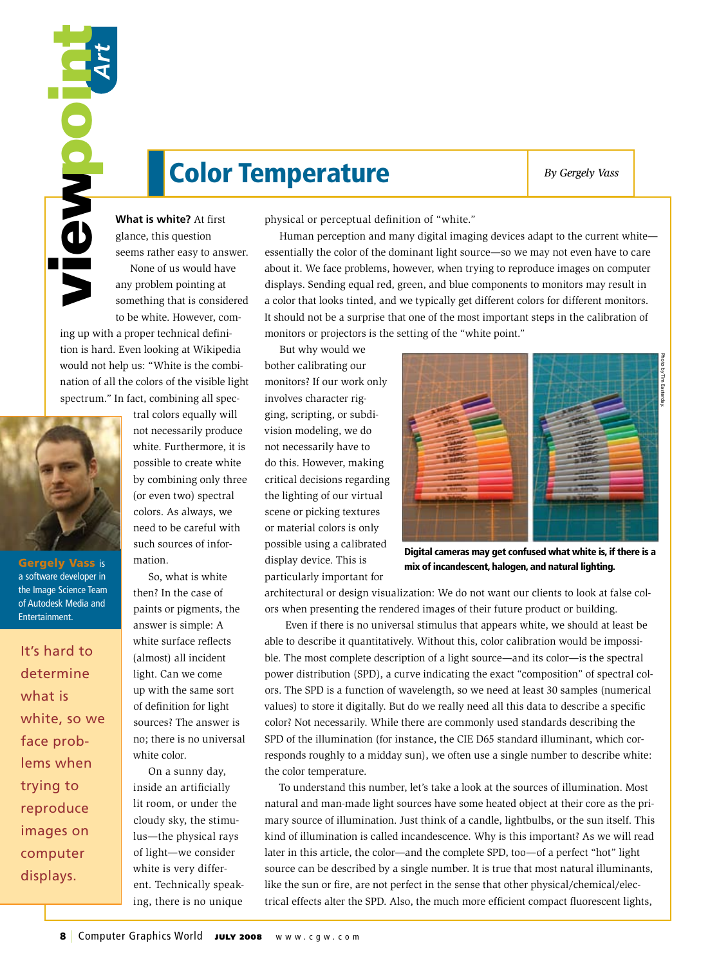## Color Temperature **By Gergely Vass**

**What is white?** At first glance, this question seems rather easy to answer. None of us would have any problem pointing at something that is considered to be white. However, com-

ing up with a proper technical definition is hard. Even looking at Wikipedia would not help us: "White is the combination of all the colors of the visible light spectrum." In fact, combining all spec-



Gergely Vass is a software developer in the Image Science Team of Autodesk Media and Entertainment.

It's hard to determine what is white, so we face problems when trying to reproduce images on computer displays.

tral colors equally will not necessarily produce white. Furthermore, it is possible to create white by combining only three (or even two) spectral colors. As always, we need to be careful with such sources of information.

So, what is white then? In the case of paints or pigments, the answer is simple: A white surface reflects (almost) all incident light. Can we come up with the same sort of definition for light sources? The answer is no; there is no universal white color.

On a sunny day, inside an artificially lit room, or under the cloudy sky, the stimulus—the physical rays of light—we consider white is very different. Technically speaking, there is no unique physical or perceptual definition of "white."

Human perception and many digital imaging devices adapt to the current white essentially the color of the dominant light source—so we may not even have to care about it. We face problems, however, when trying to reproduce images on computer displays. Sending equal red, green, and blue components to monitors may result in a color that looks tinted, and we typically get different colors for different monitors. It should not be a surprise that one of the most important steps in the calibration of monitors or projectors is the setting of the "white point."

**EXERCUTE THE SECTION CONSUMMATIVE CONSUMMATIG CONSUMMATIG (SINCE THE SECTION AND STRANGE AND STRANGE AND STRANGE AND SURFACE CONSUMMATION CONSUMMATION CONSUMMATION CONSUMMATION CONSUMMATION CONSUMMATION CONSUMMATION CONSU** But why would we bother calibrating our monitors? If our work only involves character rigging, scripting, or subdivision modeling, we do not necessarily have to do this. However, making critical decisions regarding the lighting of our virtual scene or picking textures or material colors is only possible using a calibrated display device. This is particularly important for



Digital cameras may get confused what white is, if there is a mix of incandescent, halogen, and natural lighting.

architectural or design visualization: We do not want our clients to look at false colors when presenting the rendered images of their future product or building.

 Even if there is no universal stimulus that appears white, we should at least be able to describe it quantitatively. Without this, color calibration would be impossible. The most complete description of a light source—and its color—is the spectral power distribution (SPD), a curve indicating the exact "composition" of spectral colors. The SPD is a function of wavelength, so we need at least 30 samples (numerical values) to store it digitally. But do we really need all this data to describe a specific color? Not necessarily. While there are commonly used standards describing the SPD of the illumination (for instance, the CIE D65 standard illuminant, which corresponds roughly to a midday sun), we often use a single number to describe white: the color temperature.

To understand this number, let's take a look at the sources of illumination. Most natural and man-made light sources have some heated object at their core as the primary source of illumination. Just think of a candle, lightbulbs, or the sun itself. This kind of illumination is called incandescence. Why is this important? As we will read later in this article, the color—and the complete SPD, too—of a perfect "hot" light source can be described by a single number. It is true that most natural illuminants, like the sun or fire, are not perfect in the sense that other physical/chemical/electrical effects alter the SPD. Also, the much more efficient compact fluorescent lights,